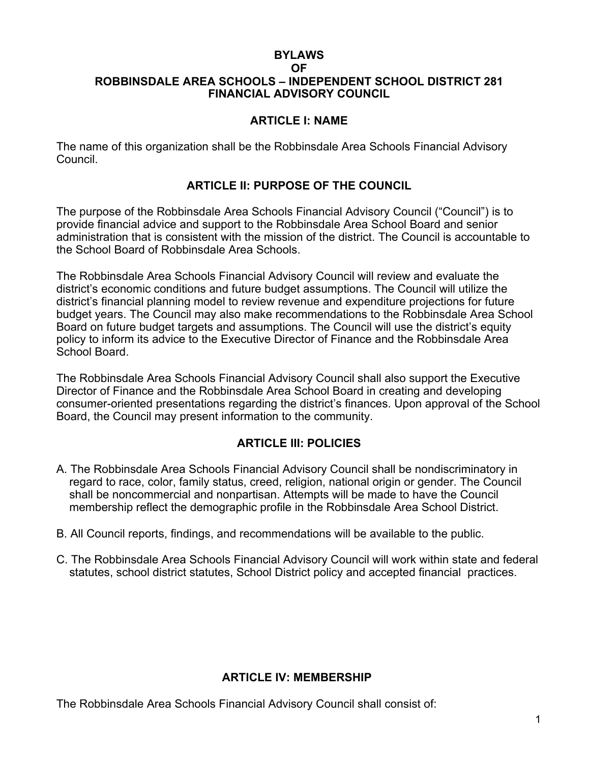### **BYLAWS OF ROBBINSDALE AREA SCHOOLS – INDEPENDENT SCHOOL DISTRICT 281 FINANCIAL ADVISORY COUNCIL**

## **ARTICLE I: NAME**

The name of this organization shall be the Robbinsdale Area Schools Financial Advisory Council.

## **ARTICLE II: PURPOSE OF THE COUNCIL**

The purpose of the Robbinsdale Area Schools Financial Advisory Council ("Council") is to provide financial advice and support to the Robbinsdale Area School Board and senior administration that is consistent with the mission of the district. The Council is accountable to the School Board of Robbinsdale Area Schools.

The Robbinsdale Area Schools Financial Advisory Council will review and evaluate the district's economic conditions and future budget assumptions. The Council will utilize the district's financial planning model to review revenue and expenditure projections for future budget years. The Council may also make recommendations to the Robbinsdale Area School Board on future budget targets and assumptions. The Council will use the district's equity policy to inform its advice to the Executive Director of Finance and the Robbinsdale Area School Board.

The Robbinsdale Area Schools Financial Advisory Council shall also support the Executive Director of Finance and the Robbinsdale Area School Board in creating and developing consumer-oriented presentations regarding the district's finances. Upon approval of the School Board, the Council may present information to the community.

# **ARTICLE III: POLICIES**

- A. The Robbinsdale Area Schools Financial Advisory Council shall be nondiscriminatory in regard to race, color, family status, creed, religion, national origin or gender. The Council shall be noncommercial and nonpartisan. Attempts will be made to have the Council membership reflect the demographic profile in the Robbinsdale Area School District.
- B. All Council reports, findings, and recommendations will be available to the public.
- C. The Robbinsdale Area Schools Financial Advisory Council will work within state and federal statutes, school district statutes, School District policy and accepted financial practices.

#### **ARTICLE IV: MEMBERSHIP**

The Robbinsdale Area Schools Financial Advisory Council shall consist of: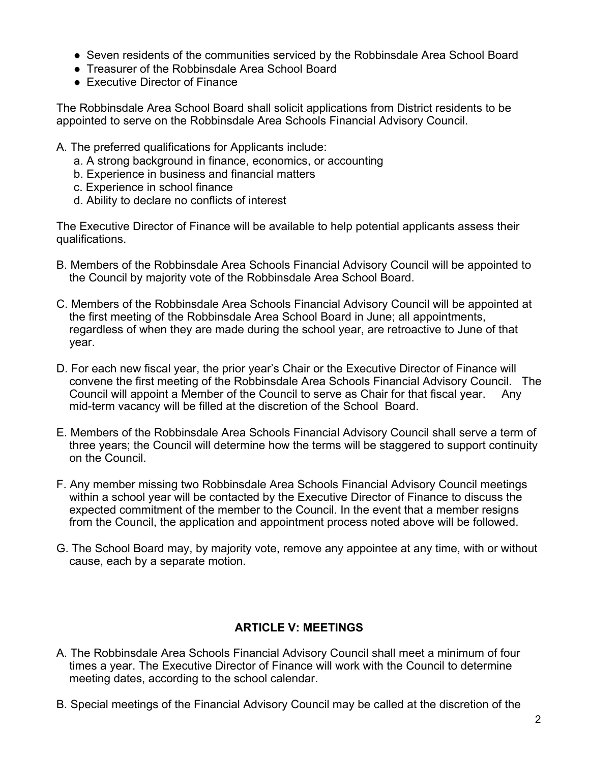- Seven residents of the communities serviced by the Robbinsdale Area School Board
- Treasurer of the Robbinsdale Area School Board
- Executive Director of Finance

The Robbinsdale Area School Board shall solicit applications from District residents to be appointed to serve on the Robbinsdale Area Schools Financial Advisory Council.

- A. The preferred qualifications for Applicants include:
	- a. A strong background in finance, economics, or accounting
	- b. Experience in business and financial matters
	- c. Experience in school finance
	- d. Ability to declare no conflicts of interest

The Executive Director of Finance will be available to help potential applicants assess their qualifications.

- B. Members of the Robbinsdale Area Schools Financial Advisory Council will be appointed to the Council by majority vote of the Robbinsdale Area School Board.
- C. Members of the Robbinsdale Area Schools Financial Advisory Council will be appointed at the first meeting of the Robbinsdale Area School Board in June; all appointments, regardless of when they are made during the school year, are retroactive to June of that year.
- D. For each new fiscal year, the prior year's Chair or the Executive Director of Finance will convene the first meeting of the Robbinsdale Area Schools Financial Advisory Council. The Council will appoint a Member of the Council to serve as Chair for that fiscal year. Any mid-term vacancy will be filled at the discretion of the School Board.
- E. Members of the Robbinsdale Area Schools Financial Advisory Council shall serve a term of three years; the Council will determine how the terms will be staggered to support continuity on the Council.
- F. Any member missing two Robbinsdale Area Schools Financial Advisory Council meetings within a school year will be contacted by the Executive Director of Finance to discuss the expected commitment of the member to the Council. In the event that a member resigns from the Council, the application and appointment process noted above will be followed.
- G. The School Board may, by majority vote, remove any appointee at any time, with or without cause, each by a separate motion.

# **ARTICLE V: MEETINGS**

- A. The Robbinsdale Area Schools Financial Advisory Council shall meet a minimum of four times a year. The Executive Director of Finance will work with the Council to determine meeting dates, according to the school calendar.
- B. Special meetings of the Financial Advisory Council may be called at the discretion of the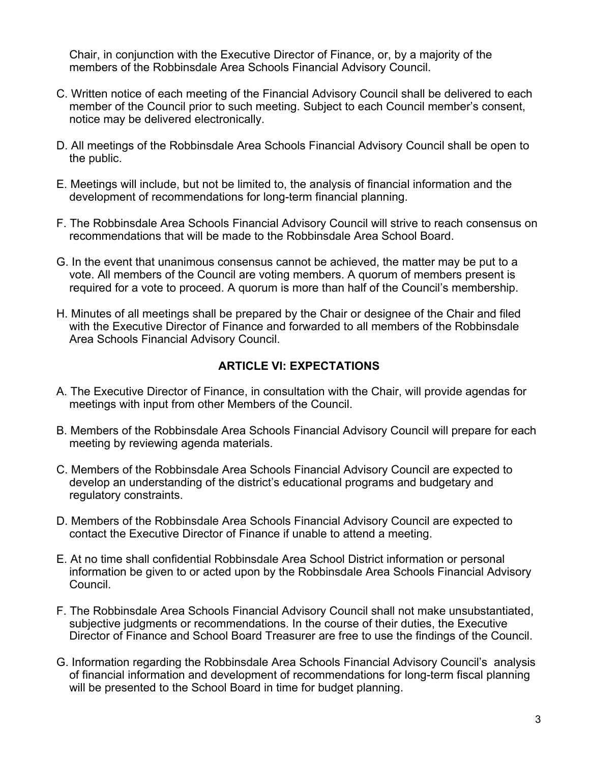Chair, in conjunction with the Executive Director of Finance, or, by a majority of the members of the Robbinsdale Area Schools Financial Advisory Council.

- C. Written notice of each meeting of the Financial Advisory Council shall be delivered to each member of the Council prior to such meeting. Subject to each Council member's consent, notice may be delivered electronically.
- D. All meetings of the Robbinsdale Area Schools Financial Advisory Council shall be open to the public.
- E. Meetings will include, but not be limited to, the analysis of financial information and the development of recommendations for long-term financial planning.
- F. The Robbinsdale Area Schools Financial Advisory Council will strive to reach consensus on recommendations that will be made to the Robbinsdale Area School Board.
- G. In the event that unanimous consensus cannot be achieved, the matter may be put to a vote. All members of the Council are voting members. A quorum of members present is required for a vote to proceed. A quorum is more than half of the Council's membership.
- H. Minutes of all meetings shall be prepared by the Chair or designee of the Chair and filed with the Executive Director of Finance and forwarded to all members of the Robbinsdale Area Schools Financial Advisory Council.

### **ARTICLE VI: EXPECTATIONS**

- A. The Executive Director of Finance, in consultation with the Chair, will provide agendas for meetings with input from other Members of the Council.
- B. Members of the Robbinsdale Area Schools Financial Advisory Council will prepare for each meeting by reviewing agenda materials.
- C. Members of the Robbinsdale Area Schools Financial Advisory Council are expected to develop an understanding of the district's educational programs and budgetary and regulatory constraints.
- D. Members of the Robbinsdale Area Schools Financial Advisory Council are expected to contact the Executive Director of Finance if unable to attend a meeting.
- E. At no time shall confidential Robbinsdale Area School District information or personal information be given to or acted upon by the Robbinsdale Area Schools Financial Advisory Council.
- F. The Robbinsdale Area Schools Financial Advisory Council shall not make unsubstantiated, subjective judgments or recommendations. In the course of their duties, the Executive Director of Finance and School Board Treasurer are free to use the findings of the Council.
- G. Information regarding the Robbinsdale Area Schools Financial Advisory Council's analysis of financial information and development of recommendations for long-term fiscal planning will be presented to the School Board in time for budget planning.